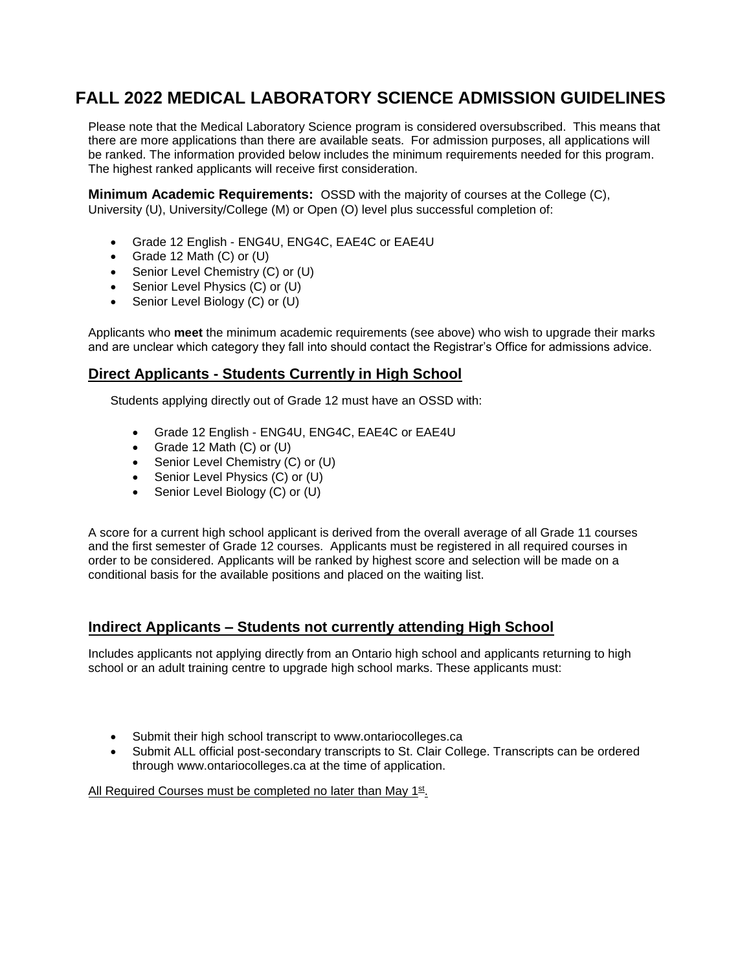# **FALL 2022 MEDICAL LABORATORY SCIENCE ADMISSION GUIDELINES**

Please note that the Medical Laboratory Science program is considered oversubscribed. This means that there are more applications than there are available seats. For admission purposes, all applications will be ranked. The information provided below includes the minimum requirements needed for this program. The highest ranked applicants will receive first consideration.

**Minimum Academic Requirements:** OSSD with the majority of courses at the College (C), University (U), University/College (M) or Open (O) level plus successful completion of:

- Grade 12 English ENG4U, ENG4C, EAE4C or EAE4U
- Grade 12 Math  $(C)$  or  $(U)$
- Senior Level Chemistry (C) or (U)
- Senior Level Physics (C) or (U)
- Senior Level Biology (C) or (U)

Applicants who **meet** the minimum academic requirements (see above) who wish to upgrade their marks and are unclear which category they fall into should contact the Registrar's Office for admissions advice.

### **Direct Applicants - Students Currently in High School**

Students applying directly out of Grade 12 must have an OSSD with:

- Grade 12 English ENG4U, ENG4C, EAE4C or EAE4U
- Grade 12 Math (C) or (U)
- Senior Level Chemistry (C) or (U)
- Senior Level Physics (C) or (U)
- Senior Level Biology (C) or (U)

A score for a current high school applicant is derived from the overall average of all Grade 11 courses and the first semester of Grade 12 courses. Applicants must be registered in all required courses in order to be considered. Applicants will be ranked by highest score and selection will be made on a conditional basis for the available positions and placed on the waiting list.

#### **Indirect Applicants – Students not currently attending High School**

Includes applicants not applying directly from an Ontario high school and applicants returning to high school or an adult training centre to upgrade high school marks. These applicants must:

- Submit their high school transcript to www.ontariocolleges.ca
- Submit ALL official post-secondary transcripts to St. Clair College. Transcripts can be ordered through www.ontariocolleges.ca at the time of application.

All Required Courses must be completed no later than May 1st.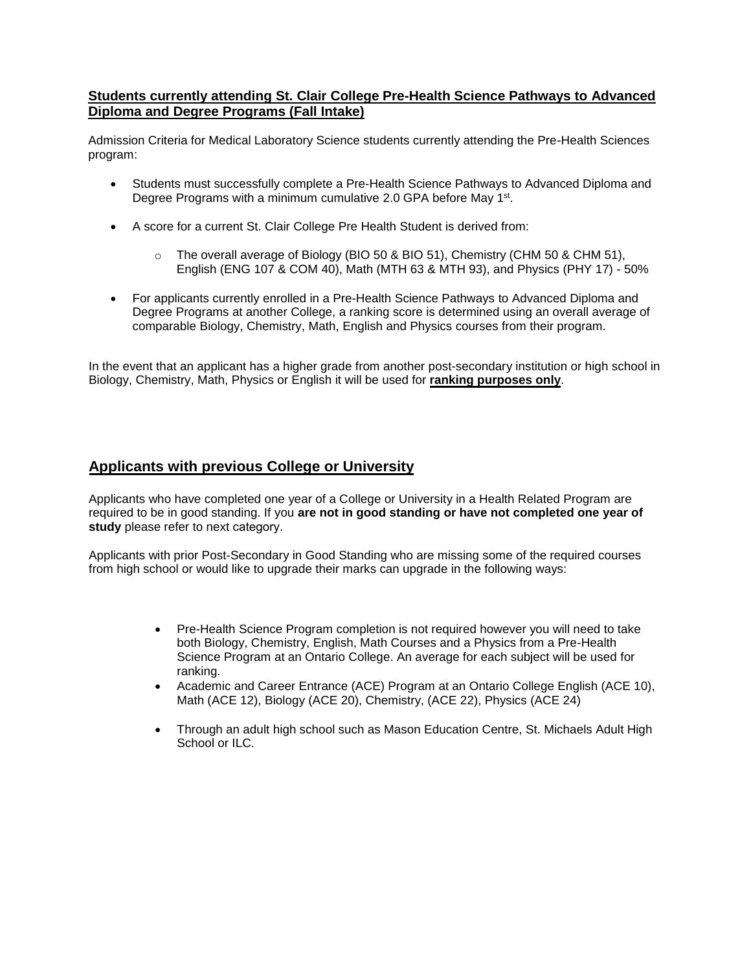#### **Students currently attending St. Clair College Pre-Health Science Pathways to Advanced Diploma and Degree Programs (Fall Intake)**

Admission Criteria for Medical Laboratory Science students currently attending the Pre-Health Sciences program:

- Students must successfully complete a Pre-Health Science Pathways to Advanced Diploma and Degree Programs with a minimum cumulative 2.0 GPA before May 1<sup>st</sup>.
- A score for a current St. Clair College Pre Health Student is derived from:
	- The overall average of Biology (BIO 50 & BIO 51), Chemistry (CHM 50 & CHM 51), English (ENG 107 & COM 40), Math (MTH 63 & MTH 93), and Physics (PHY 17) - 50%
- For applicants currently enrolled in a Pre-Health Science Pathways to Advanced Diploma and Degree Programs at another College, a ranking score is determined using an overall average of comparable Biology, Chemistry, Math, English and Physics courses from their program.

In the event that an applicant has a higher grade from another post-secondary institution or high school in Biology, Chemistry, Math, Physics or English it will be used for **ranking purposes only**.

#### **Applicants with previous College or University**

Applicants who have completed one year of a College or University in a Health Related Program are required to be in good standing. If you **are not in good standing or have not completed one year of**  study please refer to next category.

Applicants with prior Post-Secondary in Good Standing who are missing some of the required courses from high school or would like to upgrade their marks can upgrade in the following ways:

- Pre-Health Science Program completion is not required however you will need to take both Biology, Chemistry, English, Math Courses and a Physics from a Pre-Health Science Program at an Ontario College. An average for each subject will be used for ranking.
- Academic and Career Entrance (ACE) Program at an Ontario College English (ACE 10), Math (ACE 12), Biology (ACE 20), Chemistry, (ACE 22), Physics (ACE 24)
- Through an adult high school such as Mason Education Centre, St. Michaels Adult High School or ILC.